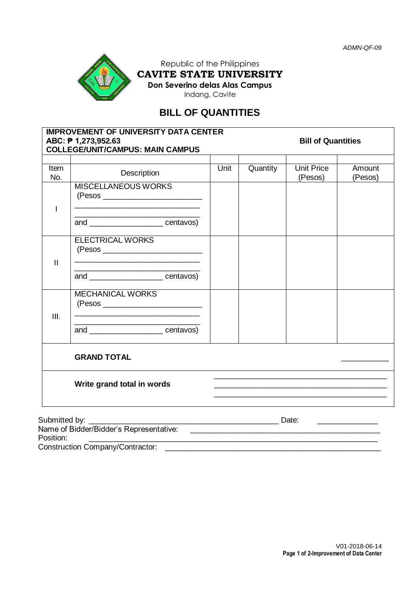

Republic of the Philippines **CAVITE STATE UNIVERSITY Don Severino delas Alas Campus** Indang, Cavite

# **BILL OF QUANTITIES**

|                    | ABC: ₱ 1,273,952.63<br><b>COLLEGE/UNIT/CAMPUS: MAIN CAMPUS</b>                                                                                                  |      | <b>IMPROVEMENT OF UNIVERSITY DATA CENTER</b><br><b>Bill of Quantities</b> |                                                                                                                        |                   |  |
|--------------------|-----------------------------------------------------------------------------------------------------------------------------------------------------------------|------|---------------------------------------------------------------------------|------------------------------------------------------------------------------------------------------------------------|-------------------|--|
|                    |                                                                                                                                                                 |      |                                                                           |                                                                                                                        |                   |  |
| <b>Item</b><br>No. | Description                                                                                                                                                     | Unit | Quantity                                                                  | <b>Unit Price</b><br>(Pesos)                                                                                           | Amount<br>(Pesos) |  |
| T                  | <b>MISCELLANEOUS WORKS</b>                                                                                                                                      |      |                                                                           |                                                                                                                        |                   |  |
|                    | and ________________________centavos)                                                                                                                           |      |                                                                           |                                                                                                                        |                   |  |
| $\mathbf{II}$      | <b>ELECTRICAL WORKS</b>                                                                                                                                         |      |                                                                           |                                                                                                                        |                   |  |
|                    | <u> 1989 - Johann John Stone, markin film yn y breninn y breninn y breninn y breninn y breninn y breninn y breni</u><br>and _________________________ centavos) |      |                                                                           |                                                                                                                        |                   |  |
| Ш.                 | <b>MECHANICAL WORKS</b><br><u> 1989 - Jan James James James James James James James James James James James James James James James James J</u>                 |      |                                                                           |                                                                                                                        |                   |  |
|                    | <u> 1980 - Johann Barn, mars eta bainar eta bainar eta baina eta baina eta baina eta baina eta baina eta baina e</u><br>and ________________________centavos)   |      |                                                                           |                                                                                                                        |                   |  |
|                    | <b>GRAND TOTAL</b>                                                                                                                                              |      |                                                                           |                                                                                                                        |                   |  |
|                    | Write grand total in words                                                                                                                                      |      |                                                                           |                                                                                                                        |                   |  |
| Submitted by:      |                                                                                                                                                                 |      |                                                                           |                                                                                                                        |                   |  |
| Position:          | Name of Bidder/Bidder's Representative:                                                                                                                         |      |                                                                           | <u> 1989 - Johann Barn, mars ann an t-Amhain an t-Amhain ann an t-Amhain an t-Amhain an t-Amhain an t-Amhain an t-</u> |                   |  |

Construction Company/Contractor: \_